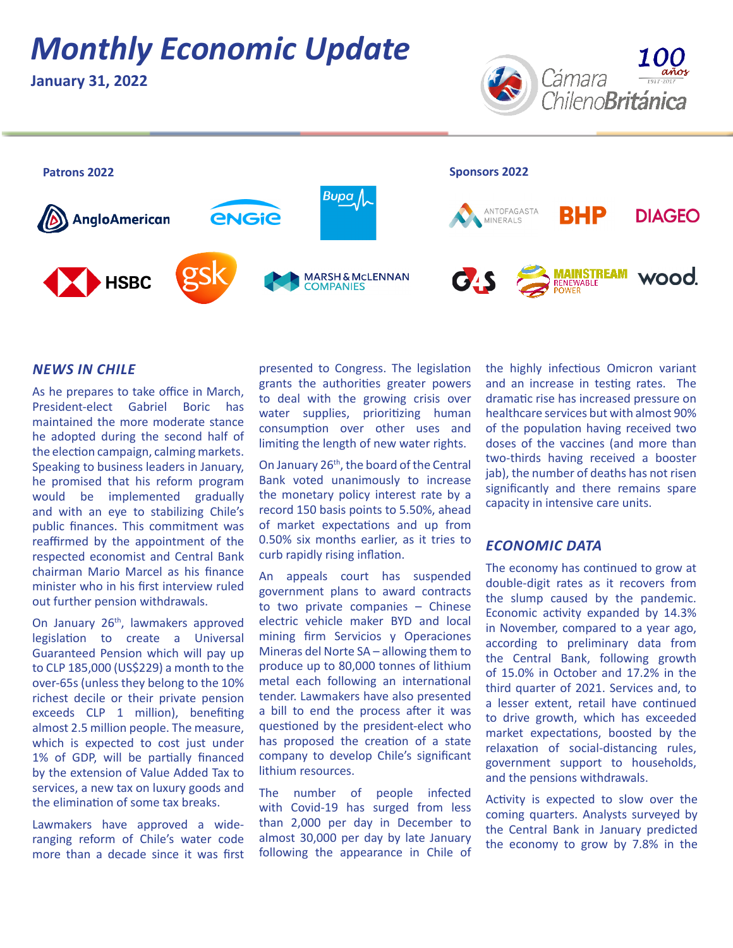# *Monthly Economic Update*

**January 31, 2022**





### *NEWS IN CHILE*

As he prepares to take office in March, President-elect Gabriel Boric has maintained the more moderate stance he adopted during the second half of the election campaign, calming markets. Speaking to business leaders in January, he promised that his reform program would be implemented gradually and with an eye to stabilizing Chile's public finances. This commitment was reaffirmed by the appointment of the respected economist and Central Bank chairman Mario Marcel as his finance minister who in his first interview ruled out further pension withdrawals.

On January 26<sup>th</sup>, lawmakers approved legislation to create a Universal Guaranteed Pension which will pay up to CLP 185,000 (US\$229) a month to the over-65s (unless they belong to the 10% richest decile or their private pension exceeds CLP 1 million), benefiting almost 2.5 million people. The measure, which is expected to cost just under 1% of GDP, will be partially financed by the extension of Value Added Tax to services, a new tax on luxury goods and the elimination of some tax breaks.

Lawmakers have approved a wideranging reform of Chile's water code more than a decade since it was first presented to Congress. The legislation grants the authorities greater powers to deal with the growing crisis over water supplies, prioritizing human consumption over other uses and limiting the length of new water rights.

On January 26<sup>th</sup>, the board of the Central Bank voted unanimously to increase the monetary policy interest rate by a record 150 basis points to 5.50%, ahead of market expectations and up from 0.50% six months earlier, as it tries to curb rapidly rising inflation.

An appeals court has suspended government plans to award contracts to two private companies – Chinese electric vehicle maker BYD and local mining firm Servicios y Operaciones Mineras del Norte SA – allowing them to produce up to 80,000 tonnes of lithium metal each following an international tender. Lawmakers have also presented a bill to end the process after it was questioned by the president-elect who has proposed the creation of a state company to develop Chile's significant lithium resources.

The number of people infected with Covid-19 has surged from less than 2,000 per day in December to almost 30,000 per day by late January following the appearance in Chile of the highly infectious Omicron variant and an increase in testing rates. The dramatic rise has increased pressure on healthcare services but with almost 90% of the population having received two doses of the vaccines (and more than two-thirds having received a booster jab), the number of deaths has not risen significantly and there remains spare capacity in intensive care units.

#### *ECONOMIC DATA*

The economy has continued to grow at double-digit rates as it recovers from the slump caused by the pandemic. Economic activity expanded by 14.3% in November, compared to a year ago, according to preliminary data from the Central Bank, following growth of 15.0% in October and 17.2% in the third quarter of 2021. Services and, to a lesser extent, retail have continued to drive growth, which has exceeded market expectations, boosted by the relaxation of social-distancing rules, government support to households, and the pensions withdrawals.

Activity is expected to slow over the coming quarters. Analysts surveyed by the Central Bank in January predicted the economy to grow by 7.8% in the